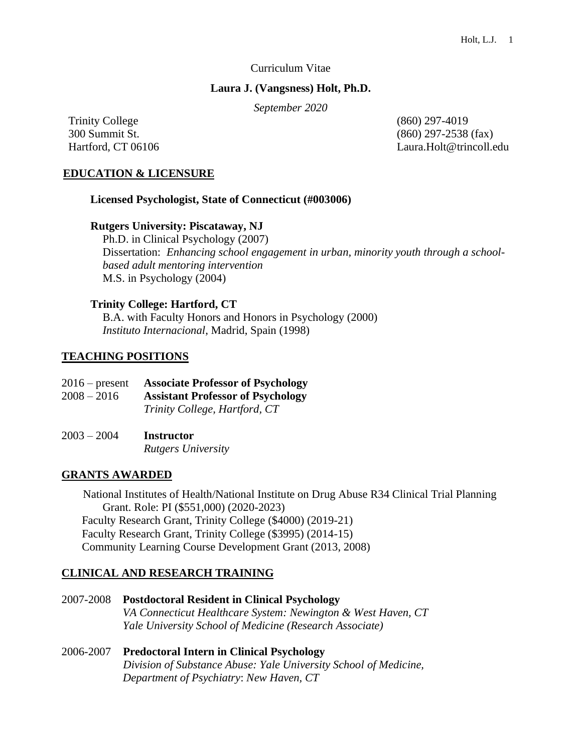### Curriculum Vitae

### **Laura J. (Vangsness) Holt, Ph.D.**

*September 2020*

Trinity College (860) 297-4019

300 Summit St. (860) 297-2538 (fax) Hartford, CT 06106 Laura.Holt@trincoll.edu

### **EDUCATION & LICENSURE**

#### **Licensed Psychologist, State of Connecticut (#003006)**

#### **Rutgers University: Piscataway, NJ**

 Ph.D. in Clinical Psychology (2007) Dissertation: *Enhancing school engagement in urban, minority youth through a schoolbased adult mentoring intervention* M.S. in Psychology (2004)

#### **Trinity College: Hartford, CT**

B.A. with Faculty Honors and Honors in Psychology (2000) *Instituto Internacional*, Madrid, Spain (1998)

# **TEACHING POSITIONS**

| $2016$ – present | <b>Associate Professor of Psychology</b> |
|------------------|------------------------------------------|
| $2008 - 2016$    | <b>Assistant Professor of Psychology</b> |
|                  | Trinity College, Hartford, CT            |
|                  |                                          |

# 2003 – 2004 **Instructor** *Rutgers University*

# **GRANTS AWARDED**

National Institutes of Health/National Institute on Drug Abuse R34 Clinical Trial Planning Grant. Role: PI (\$551,000) (2020-2023) Faculty Research Grant, Trinity College (\$4000) (2019-21) Faculty Research Grant, Trinity College (\$3995) (2014-15) Community Learning Course Development Grant (2013, 2008)

# **CLINICAL AND RESEARCH TRAINING**

2007-2008 **Postdoctoral Resident in Clinical Psychology**  *VA Connecticut Healthcare System: Newington & West Haven, CT Yale University School of Medicine (Research Associate)*

# 2006-2007 **Predoctoral Intern in Clinical Psychology** *Division of Substance Abuse: Yale University School of Medicine, Department of Psychiatry*: *New Haven, CT*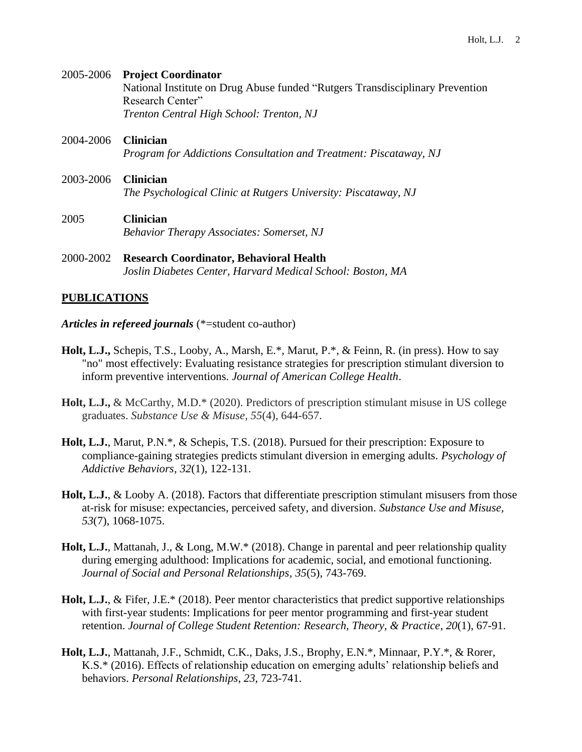# 2005-2006 **Project Coordinator** National Institute on Drug Abuse funded "Rutgers Transdisciplinary Prevention Research Center" *Trenton Central High School: Trenton, NJ*

- 2004-2006 **Clinician** *Program for Addictions Consultation and Treatment: Piscataway, NJ*
- 2003-2006 **Clinician** *The Psychological Clinic at Rutgers University: Piscataway, NJ*
- 2005 **Clinician** *Behavior Therapy Associates: Somerset, NJ*
- 2000-2002 **Research Coordinator, Behavioral Health** *Joslin Diabetes Center, Harvard Medical School: Boston, MA*

# **PUBLICATIONS**

- *Articles in refereed journals* (\*=student co-author)
- **Holt, L.J.,** Schepis, T.S., Looby, A., Marsh, E.\*, Marut, P.\*, & Feinn, R. (in press). How to say "no" most effectively: Evaluating resistance strategies for prescription stimulant diversion to inform preventive interventions. *Journal of American College Health*.
- **Holt, L.J.,** & McCarthy, M.D.\* (2020). Predictors of prescription stimulant misuse in US college graduates. *Substance Use & Misuse*, *55*(4), 644-657.
- **Holt, L.J.**, Marut, P.N.\*, & Schepis, T.S. (2018). Pursued for their prescription: Exposure to compliance-gaining strategies predicts stimulant diversion in emerging adults. *Psychology of Addictive Behaviors, 32*(1), 122-131.
- **Holt, L.J.**, & Looby A. (2018). Factors that differentiate prescription stimulant misusers from those at-risk for misuse: expectancies, perceived safety, and diversion. *Substance Use and Misuse, 53*(7), 1068-1075.
- **Holt, L.J.**, Mattanah, J., & Long, M.W.\* (2018). Change in parental and peer relationship quality during emerging adulthood: Implications for academic, social, and emotional functioning. *Journal of Social and Personal Relationships, 35*(5), 743-769.
- **Holt, L.J.**, & Fifer, J.E.\* (2018). Peer mentor characteristics that predict supportive relationships with first-year students: Implications for peer mentor programming and first-year student retention. *Journal of College Student Retention: Research, Theory, & Practice*, *20*(1), 67-91.
- **Holt, L.J.**, Mattanah, J.F., Schmidt, C.K., Daks, J.S., Brophy, E.N.\*, Minnaar, P.Y.\*, & Rorer, K.S.\* (2016). Effects of relationship education on emerging adults' relationship beliefs and behaviors. *Personal Relationships*, *23,* 723-741.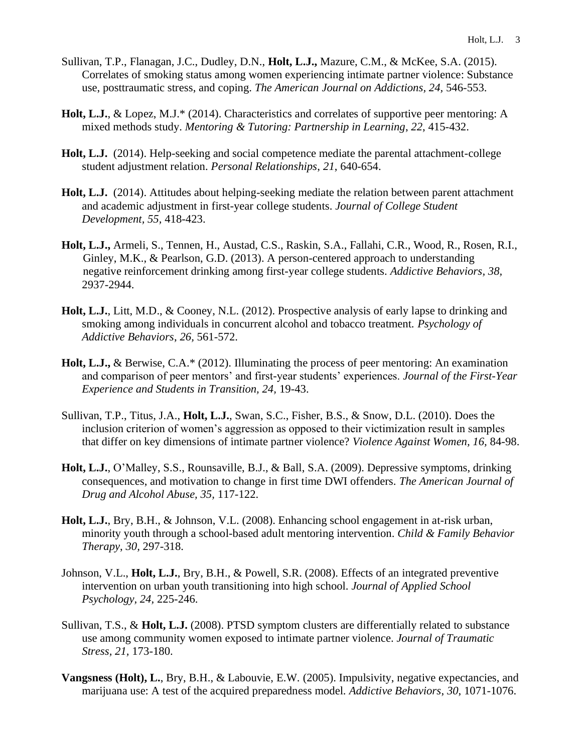- Sullivan, T.P., Flanagan, J.C., Dudley, D.N., **Holt, L.J.,** Mazure, C.M., & McKee, S.A. (2015). Correlates of smoking status among women experiencing intimate partner violence: Substance use, posttraumatic stress, and coping. *The American Journal on Addictions, 24,* 546-553.
- **Holt, L.J.**, & Lopez, M.J.\* (2014). Characteristics and correlates of supportive peer mentoring: A mixed methods study. *Mentoring & Tutoring: Partnership in Learning*, *22*, 415-432.
- **Holt, L.J.** (2014). Help-seeking and social competence mediate the parental attachment-college student adjustment relation. *Personal Relationships*, *21*, 640-654.
- **Holt, L.J.** (2014). Attitudes about helping-seeking mediate the relation between parent attachment and academic adjustment in first-year college students. *Journal of College Student Development, 55,* 418-423.
- **Holt, L.J.,** Armeli, S., Tennen, H., Austad, C.S., Raskin, S.A., Fallahi, C.R., Wood, R., Rosen, R.I., Ginley, M.K., & Pearlson, G.D. (2013). A person-centered approach to understanding negative reinforcement drinking among first-year college students. *Addictive Behaviors, 38,*  2937-2944.
- **Holt, L.J.**, Litt, M.D., & Cooney, N.L. (2012). Prospective analysis of early lapse to drinking and smoking among individuals in concurrent alcohol and tobacco treatment. *Psychology of Addictive Behaviors*, *26,* 561-572.
- **Holt, L.J.,** & Berwise, C.A.\* (2012). Illuminating the process of peer mentoring: An examination and comparison of peer mentors' and first-year students' experiences. *Journal of the First-Year Experience and Students in Transition, 24,* 19-43.
- Sullivan, T.P., Titus, J.A., **Holt, L.J.**, Swan, S.C., Fisher, B.S., & Snow, D.L. (2010). Does the inclusion criterion of women's aggression as opposed to their victimization result in samples that differ on key dimensions of intimate partner violence? *Violence Against Women, 16,* 84-98.
- **Holt, L.J.**, O'Malley, S.S., Rounsaville, B.J., & Ball, S.A. (2009). Depressive symptoms, drinking consequences, and motivation to change in first time DWI offenders. *The American Journal of Drug and Alcohol Abuse, 35,* 117-122.
- **Holt, L.J.**, Bry, B.H., & Johnson, V.L. (2008). Enhancing school engagement in at-risk urban, minority youth through a school-based adult mentoring intervention. *Child & Family Behavior Therapy*, *30,* 297-318.
- Johnson, V.L., **Holt, L.J.**, Bry, B.H., & Powell, S.R. (2008). Effects of an integrated preventive intervention on urban youth transitioning into high school. *Journal of Applied School Psychology, 24,* 225-246.
- Sullivan, T.S., & **Holt, L.J.** (2008). PTSD symptom clusters are differentially related to substance use among community women exposed to intimate partner violence. *Journal of Traumatic Stress, 21,* 173-180.
- **Vangsness (Holt), L.**, Bry, B.H., & Labouvie, E.W. (2005). Impulsivity, negative expectancies, and marijuana use: A test of the acquired preparedness model. *Addictive Behaviors*, *30*, 1071-1076.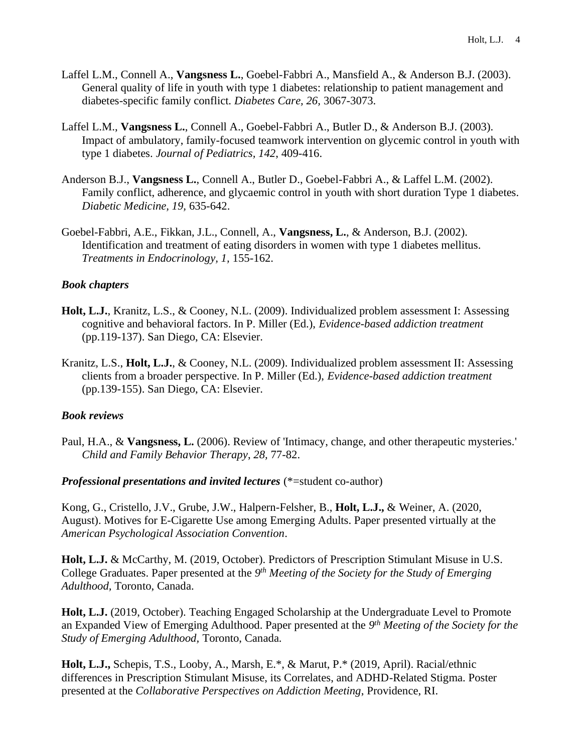- Laffel L.M., Connell A., **Vangsness L.**, Goebel-Fabbri A., Mansfield A., & Anderson B.J. (2003). General quality of life in youth with type 1 diabetes: relationship to patient management and diabetes-specific family conflict. *Diabetes Care, 26,* 3067-3073.
- Laffel L.M., **Vangsness L.**, Connell A., Goebel-Fabbri A., Butler D., & Anderson B.J. (2003). Impact of ambulatory, family-focused teamwork intervention on glycemic control in youth with type 1 diabetes. *Journal of Pediatrics, 142*, 409-416.
- Anderson B.J., **Vangsness L.**, Connell A., Butler D., Goebel-Fabbri A., & Laffel L.M. (2002). Family conflict, adherence, and glycaemic control in youth with short duration Type 1 diabetes. *Diabetic Medicine, 19,* 635-642.
- Goebel-Fabbri, A.E., Fikkan, J.L., Connell, A., **Vangsness, L.**, & Anderson, B.J. (2002). Identification and treatment of eating disorders in women with type 1 diabetes mellitus. *Treatments in Endocrinology, 1,* 155-162.

# *Book chapters*

- **Holt, L.J.**, Kranitz, L.S., & Cooney, N.L. (2009). Individualized problem assessment I: Assessing cognitive and behavioral factors. In P. Miller (Ed.), *Evidence-based addiction treatment*  (pp.119-137). San Diego, CA: Elsevier.
- Kranitz, L.S., **Holt, L.J.**, & Cooney, N.L. (2009). Individualized problem assessment II: Assessing clients from a broader perspective. In P. Miller (Ed.), *Evidence-based addiction treatment* (pp.139-155). San Diego, CA: Elsevier.

# *Book reviews*

Paul, H.A., & **Vangsness, L.** (2006). Review of 'Intimacy, change, and other therapeutic mysteries.' *Child and Family Behavior Therapy*, *28,* 77-82.

# *Professional presentations and invited lectures* (\*=student co-author)

Kong, G., Cristello, J.V., Grube, J.W., Halpern-Felsher, B., **Holt, L.J.,** & Weiner, A. (2020, August). Motives for E-Cigarette Use among Emerging Adults. Paper presented virtually at the *American Psychological Association Convention*.

**Holt, L.J.** & McCarthy, M. (2019, October). Predictors of Prescription Stimulant Misuse in U.S. College Graduates. Paper presented at the 9<sup>th</sup> Meeting of the Society for the Study of Emerging *Adulthood,* Toronto, Canada.

**Holt, L.J.** (2019, October). Teaching Engaged Scholarship at the Undergraduate Level to Promote an Expanded View of Emerging Adulthood. Paper presented at the *9 th Meeting of the Society for the Study of Emerging Adulthood,* Toronto, Canada.

**Holt, L.J.,** Schepis, T.S., Looby, A., Marsh, E.\*, & Marut, P.\* (2019, April). Racial/ethnic differences in Prescription Stimulant Misuse, its Correlates, and ADHD-Related Stigma. Poster presented at the *Collaborative Perspectives on Addiction Meeting*, Providence, RI.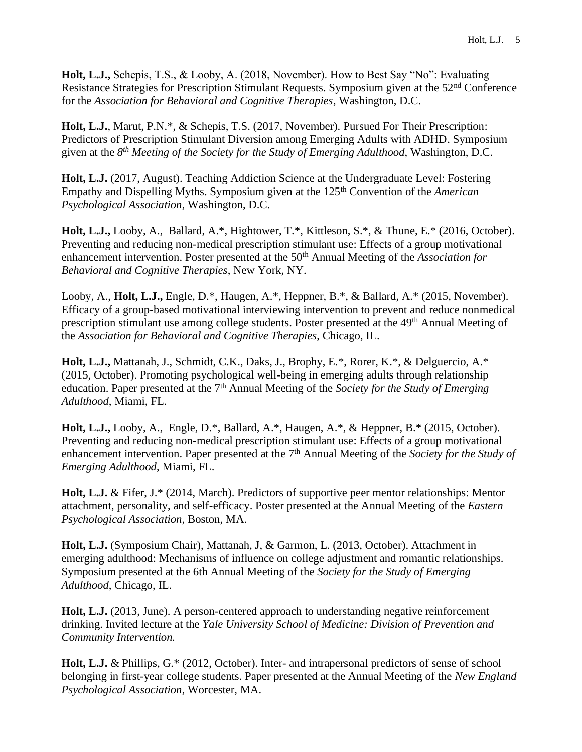**Holt, L.J.,** Schepis, T.S., & Looby, A. (2018, November). How to Best Say "No": Evaluating Resistance Strategies for Prescription Stimulant Requests. Symposium given at the 52nd Conference for the *Association for Behavioral and Cognitive Therapies*, Washington, D.C.

**Holt, L.J.**, Marut, P.N.\*, & Schepis, T.S. (2017, November). Pursued For Their Prescription: Predictors of Prescription Stimulant Diversion among Emerging Adults with ADHD. Symposium given at the *8 th Meeting of the Society for the Study of Emerging Adulthood*, Washington, D.C.

**Holt, L.J.** (2017, August). Teaching Addiction Science at the Undergraduate Level: Fostering Empathy and Dispelling Myths. Symposium given at the 125th Convention of the *American Psychological Association*, Washington, D.C.

**Holt, L.J.,** Looby, A., Ballard, A.\*, Hightower, T.\*, Kittleson, S.\*, & Thune, E.\* (2016, October). Preventing and reducing non-medical prescription stimulant use: Effects of a group motivational enhancement intervention. Poster presented at the 50<sup>th</sup> Annual Meeting of the *Association for Behavioral and Cognitive Therapies*, New York, NY.

Looby, A., **Holt, L.J.,** Engle, D.\*, Haugen, A.\*, Heppner, B.\*, & Ballard, A.\* (2015, November). Efficacy of a group-based motivational interviewing intervention to prevent and reduce nonmedical prescription stimulant use among college students. Poster presented at the 49<sup>th</sup> Annual Meeting of the *Association for Behavioral and Cognitive Therapies*, Chicago, IL.

**Holt, L.J.,** Mattanah, J., Schmidt, C.K., Daks, J., Brophy, E.\*, Rorer, K.\*, & Delguercio, A.\* (2015, October). Promoting psychological well-being in emerging adults through relationship education. Paper presented at the 7<sup>th</sup> Annual Meeting of the *Society for the Study of Emerging Adulthood*, Miami, FL.

**Holt, L.J.,** Looby, A., Engle, D.\*, Ballard, A.\*, Haugen, A.\*, & Heppner, B.\* (2015, October). Preventing and reducing non-medical prescription stimulant use: Effects of a group motivational enhancement intervention. Paper presented at the 7<sup>th</sup> Annual Meeting of the *Society for the Study of Emerging Adulthood*, Miami, FL.

**Holt, L.J.** & Fifer, J.\* (2014, March). Predictors of supportive peer mentor relationships: Mentor attachment, personality, and self-efficacy. Poster presented at the Annual Meeting of the *Eastern Psychological Association*, Boston, MA.

**Holt, L.J.** (Symposium Chair), Mattanah, J, & Garmon, L. (2013, October). Attachment in emerging adulthood: Mechanisms of influence on college adjustment and romantic relationships. Symposium presented at the 6th Annual Meeting of the *Society for the Study of Emerging Adulthood*, Chicago, IL.

Holt, L.J. (2013, June). A person-centered approach to understanding negative reinforcement drinking. Invited lecture at the *Yale University School of Medicine: Division of Prevention and Community Intervention.*

**Holt, L.J.** & Phillips, G.\* (2012, October). Inter- and intrapersonal predictors of sense of school belonging in first-year college students. Paper presented at the Annual Meeting of the *New England Psychological Association*, Worcester, MA.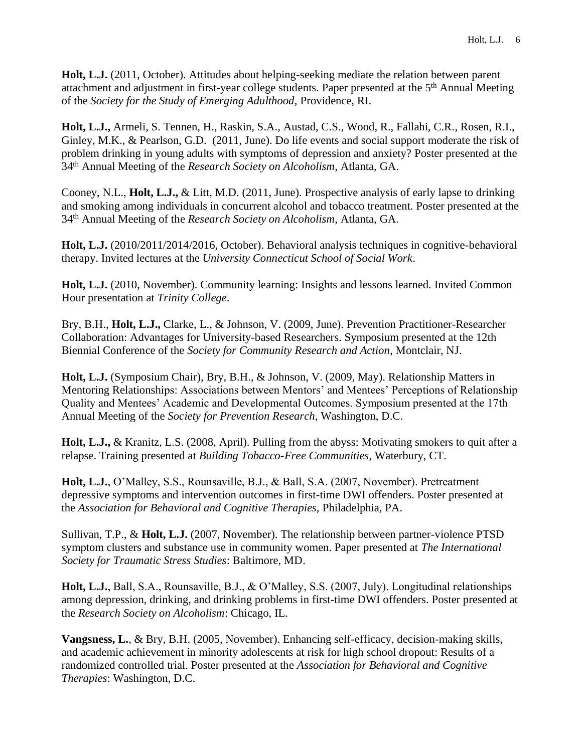**Holt, L.J.** (2011, October). Attitudes about helping-seeking mediate the relation between parent attachment and adjustment in first-year college students. Paper presented at the 5<sup>th</sup> Annual Meeting of the *Society for the Study of Emerging Adulthood*, Providence, RI.

**Holt, L.J.,** Armeli, S. Tennen, H., Raskin, S.A., Austad, C.S., Wood, R., Fallahi, C.R., Rosen, R.I., Ginley, M.K., & Pearlson, G.D.(2011, June). Do life events and social support moderate the risk of problem drinking in young adults with symptoms of depression and anxiety? Poster presented at the 34th Annual Meeting of the *Research Society on Alcoholism*, Atlanta, GA.

Cooney, N.L., **Holt, L.J.,** & Litt, M.D. (2011, June). Prospective analysis of early lapse to drinking and smoking among individuals in concurrent alcohol and tobacco treatment. Poster presented at the 34th Annual Meeting of the *Research Society on Alcoholism*, Atlanta, GA.

**Holt, L.J.** (2010/2011/2014/2016, October). Behavioral analysis techniques in cognitive-behavioral therapy. Invited lectures at the *University Connecticut School of Social Work*.

**Holt, L.J.** (2010, November). Community learning: Insights and lessons learned. Invited Common Hour presentation at *Trinity College*.

Bry, B.H., **Holt, L.J.,** Clarke, L., & Johnson, V. (2009, June). Prevention Practitioner-Researcher Collaboration: Advantages for University-based Researchers. Symposium presented at the 12th Biennial Conference of the *Society for Community Research and Action*, Montclair, NJ.

**Holt, L.J.** (Symposium Chair), Bry, B.H., & Johnson, V. (2009, May). Relationship Matters in Mentoring Relationships: Associations between Mentors' and Mentees' Perceptions of Relationship Quality and Mentees' Academic and Developmental Outcomes. Symposium presented at the 17th Annual Meeting of the *Society for Prevention Research*, Washington, D.C.

**Holt, L.J.,** & Kranitz, L.S. (2008, April). Pulling from the abyss: Motivating smokers to quit after a relapse. Training presented at *Building Tobacco-Free Communities*, Waterbury, CT.

**Holt, L.J.**, O'Malley, S.S., Rounsaville, B.J., & Ball, S.A. (2007, November). Pretreatment depressive symptoms and intervention outcomes in first-time DWI offenders. Poster presented at the *Association for Behavioral and Cognitive Therapies,* Philadelphia, PA.

Sullivan, T.P., & **Holt, L.J.** (2007, November). The relationship between partner-violence PTSD symptom clusters and substance use in community women. Paper presented at *The International Society for Traumatic Stress Studies*: Baltimore, MD.

**Holt, L.J.**, Ball, S.A., Rounsaville, B.J., & O'Malley, S.S. (2007, July). Longitudinal relationships among depression, drinking, and drinking problems in first-time DWI offenders. Poster presented at the *Research Society on Alcoholism*: Chicago, IL.

**Vangsness, L.**, & Bry, B.H. (2005, November). Enhancing self-efficacy, decision-making skills, and academic achievement in minority adolescents at risk for high school dropout: Results of a randomized controlled trial. Poster presented at the *Association for Behavioral and Cognitive Therapies*: Washington, D.C.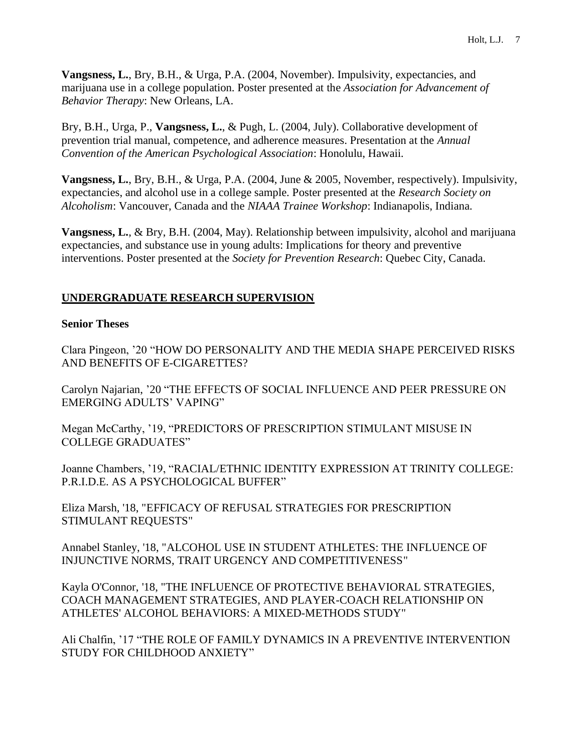**Vangsness, L.**, Bry, B.H., & Urga, P.A. (2004, November). Impulsivity, expectancies, and marijuana use in a college population. Poster presented at the *Association for Advancement of Behavior Therapy*: New Orleans, LA.

Bry, B.H., Urga, P., **Vangsness, L.**, & Pugh, L. (2004, July). Collaborative development of prevention trial manual, competence, and adherence measures. Presentation at the *Annual Convention of the American Psychological Association*: Honolulu, Hawaii.

**Vangsness, L.**, Bry, B.H., & Urga, P.A. (2004, June & 2005, November, respectively). Impulsivity, expectancies, and alcohol use in a college sample. Poster presented at the *Research Society on Alcoholism*: Vancouver, Canada and the *NIAAA Trainee Workshop*: Indianapolis, Indiana.

**Vangsness, L.**, & Bry, B.H. (2004, May). Relationship between impulsivity, alcohol and marijuana expectancies, and substance use in young adults: Implications for theory and preventive interventions. Poster presented at the *Society for Prevention Research*: Quebec City, Canada.

# **UNDERGRADUATE RESEARCH SUPERVISION**

# **Senior Theses**

Clara Pingeon, '20 "HOW DO PERSONALITY AND THE MEDIA SHAPE PERCEIVED RISKS AND BENEFITS OF E-CIGARETTES?

Carolyn Najarian, '20 "THE EFFECTS OF SOCIAL INFLUENCE AND PEER PRESSURE ON EMERGING ADULTS' VAPING"

Megan McCarthy, '19, "PREDICTORS OF PRESCRIPTION STIMULANT MISUSE IN COLLEGE GRADUATES"

Joanne Chambers, '19, "RACIAL/ETHNIC IDENTITY EXPRESSION AT TRINITY COLLEGE: P.R.I.D.E. AS A PSYCHOLOGICAL BUFFER"

Eliza Marsh, '18, "EFFICACY OF REFUSAL STRATEGIES FOR PRESCRIPTION STIMULANT REQUESTS"

Annabel Stanley, '18, "ALCOHOL USE IN STUDENT ATHLETES: THE INFLUENCE OF INJUNCTIVE NORMS, TRAIT URGENCY AND COMPETITIVENESS"

Kayla O'Connor, '18, "THE INFLUENCE OF PROTECTIVE BEHAVIORAL STRATEGIES, COACH MANAGEMENT STRATEGIES, AND PLAYER-COACH RELATIONSHIP ON ATHLETES' ALCOHOL BEHAVIORS: A MIXED-METHODS STUDY"

Ali Chalfin, '17 "THE ROLE OF FAMILY DYNAMICS IN A PREVENTIVE INTERVENTION STUDY FOR CHILDHOOD ANXIETY"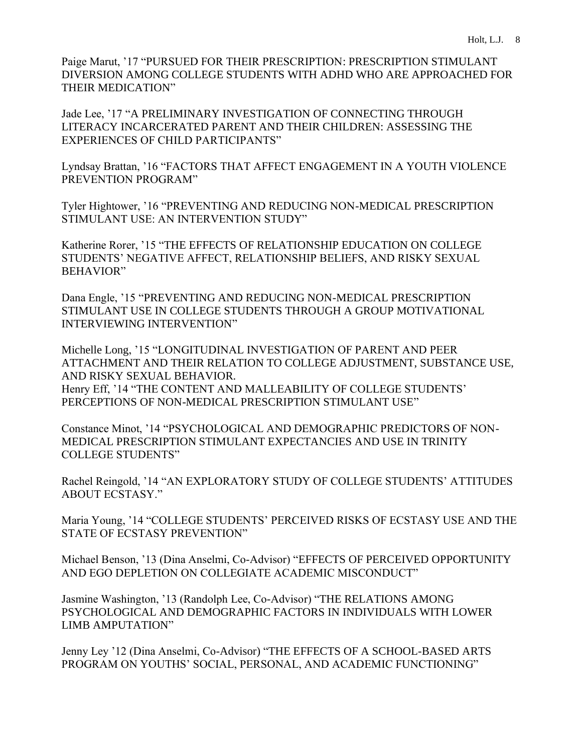Paige Marut, '17 "PURSUED FOR THEIR PRESCRIPTION: PRESCRIPTION STIMULANT DIVERSION AMONG COLLEGE STUDENTS WITH ADHD WHO ARE APPROACHED FOR THEIR MEDICATION"

Jade Lee, '17 "A PRELIMINARY INVESTIGATION OF CONNECTING THROUGH LITERACY INCARCERATED PARENT AND THEIR CHILDREN: ASSESSING THE EXPERIENCES OF CHILD PARTICIPANTS"

Lyndsay Brattan, '16 "FACTORS THAT AFFECT ENGAGEMENT IN A YOUTH VIOLENCE PREVENTION PROGRAM"

Tyler Hightower, '16 "PREVENTING AND REDUCING NON-MEDICAL PRESCRIPTION STIMULANT USE: AN INTERVENTION STUDY"

Katherine Rorer, '15 "THE EFFECTS OF RELATIONSHIP EDUCATION ON COLLEGE STUDENTS' NEGATIVE AFFECT, RELATIONSHIP BELIEFS, AND RISKY SEXUAL BEHAVIOR"

Dana Engle, '15 "PREVENTING AND REDUCING NON-MEDICAL PRESCRIPTION STIMULANT USE IN COLLEGE STUDENTS THROUGH A GROUP MOTIVATIONAL INTERVIEWING INTERVENTION"

Michelle Long, '15 "LONGITUDINAL INVESTIGATION OF PARENT AND PEER ATTACHMENT AND THEIR RELATION TO COLLEGE ADJUSTMENT, SUBSTANCE USE, AND RISKY SEXUAL BEHAVIOR. Henry Eff, '14 "THE CONTENT AND MALLEABILITY OF COLLEGE STUDENTS' PERCEPTIONS OF NON-MEDICAL PRESCRIPTION STIMULANT USE"

Constance Minot, '14 "PSYCHOLOGICAL AND DEMOGRAPHIC PREDICTORS OF NON-MEDICAL PRESCRIPTION STIMULANT EXPECTANCIES AND USE IN TRINITY COLLEGE STUDENTS"

Rachel Reingold, '14 "AN EXPLORATORY STUDY OF COLLEGE STUDENTS' ATTITUDES ABOUT ECSTASY."

Maria Young, '14 "COLLEGE STUDENTS' PERCEIVED RISKS OF ECSTASY USE AND THE STATE OF ECSTASY PREVENTION"

Michael Benson, '13 (Dina Anselmi, Co-Advisor) "EFFECTS OF PERCEIVED OPPORTUNITY AND EGO DEPLETION ON COLLEGIATE ACADEMIC MISCONDUCT"

Jasmine Washington, '13 (Randolph Lee, Co-Advisor) "THE RELATIONS AMONG PSYCHOLOGICAL AND DEMOGRAPHIC FACTORS IN INDIVIDUALS WITH LOWER LIMB AMPUTATION"

Jenny Ley '12 (Dina Anselmi, Co-Advisor) "THE EFFECTS OF A SCHOOL-BASED ARTS PROGRAM ON YOUTHS' SOCIAL, PERSONAL, AND ACADEMIC FUNCTIONING"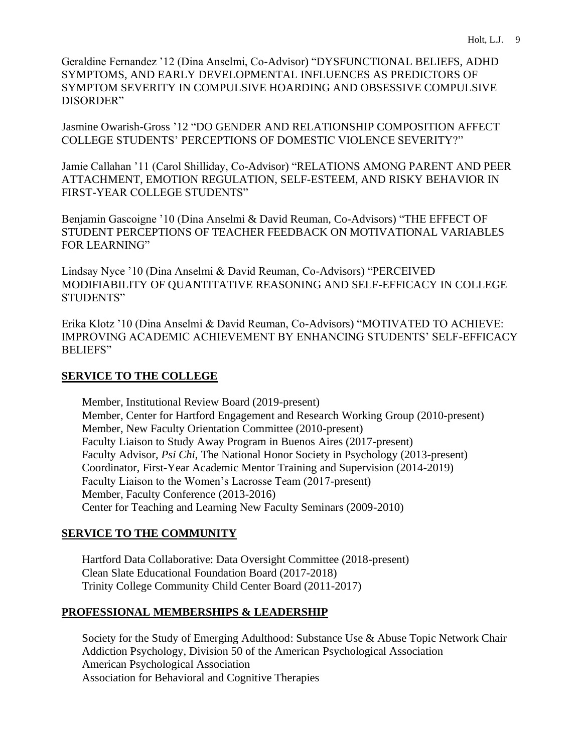Geraldine Fernandez '12 (Dina Anselmi, Co-Advisor) "DYSFUNCTIONAL BELIEFS, ADHD SYMPTOMS, AND EARLY DEVELOPMENTAL INFLUENCES AS PREDICTORS OF SYMPTOM SEVERITY IN COMPULSIVE HOARDING AND OBSESSIVE COMPULSIVE DISORDER"

Jasmine Owarish-Gross '12 "DO GENDER AND RELATIONSHIP COMPOSITION AFFECT COLLEGE STUDENTS' PERCEPTIONS OF DOMESTIC VIOLENCE SEVERITY?"

Jamie Callahan '11 (Carol Shilliday, Co-Advisor) "RELATIONS AMONG PARENT AND PEER ATTACHMENT, EMOTION REGULATION, SELF-ESTEEM, AND RISKY BEHAVIOR IN FIRST-YEAR COLLEGE STUDENTS"

Benjamin Gascoigne '10 (Dina Anselmi & David Reuman, Co-Advisors) "THE EFFECT OF STUDENT PERCEPTIONS OF TEACHER FEEDBACK ON MOTIVATIONAL VARIABLES FOR LEARNING"

Lindsay Nyce '10 (Dina Anselmi & David Reuman, Co-Advisors) "PERCEIVED MODIFIABILITY OF QUANTITATIVE REASONING AND SELF-EFFICACY IN COLLEGE STUDENTS"

Erika Klotz '10 (Dina Anselmi & David Reuman, Co-Advisors) "MOTIVATED TO ACHIEVE: IMPROVING ACADEMIC ACHIEVEMENT BY ENHANCING STUDENTS' SELF-EFFICACY BELIEFS"

# **SERVICE TO THE COLLEGE**

Member, Institutional Review Board (2019-present) Member, Center for Hartford Engagement and Research Working Group (2010-present) Member, New Faculty Orientation Committee (2010-present) Faculty Liaison to Study Away Program in Buenos Aires (2017-present) Faculty Advisor, *Psi Chi*, The National Honor Society in Psychology (2013-present) Coordinator, First-Year Academic Mentor Training and Supervision (2014-2019) Faculty Liaison to the Women's Lacrosse Team (2017-present) Member, Faculty Conference (2013-2016) Center for Teaching and Learning New Faculty Seminars (2009-2010)

# **SERVICE TO THE COMMUNITY**

Hartford Data Collaborative: Data Oversight Committee (2018-present) Clean Slate Educational Foundation Board (2017-2018) Trinity College Community Child Center Board (2011-2017)

# **PROFESSIONAL MEMBERSHIPS & LEADERSHIP**

Society for the Study of Emerging Adulthood: Substance Use & Abuse Topic Network Chair Addiction Psychology, Division 50 of the American Psychological Association American Psychological Association Association for Behavioral and Cognitive Therapies